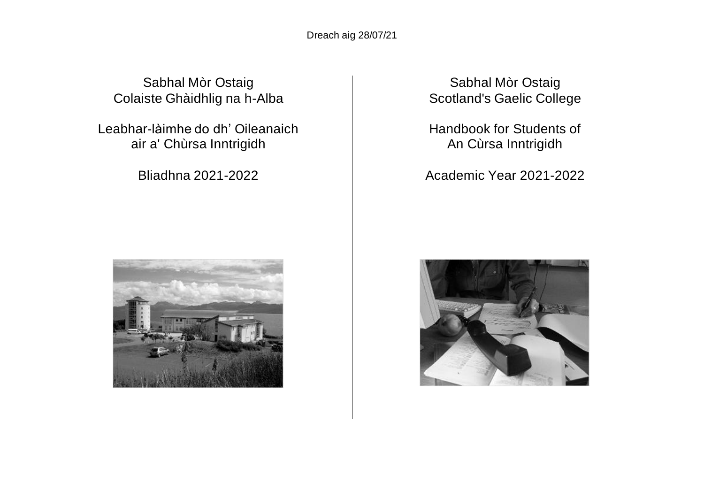Dreach aig 28/07/21

Sabhal Mòr Ostaig Colaiste Ghàidhlig na h-Alba

Leabhar-làimhe do dh' Oileanaich air a' Chùrsa Inntrigidh

Bliadhna 2021-2022



Sabhal Mòr Ostaig Scotland's Gaelic College

Handbook for Students of An Cùrsa Inntrigidh

Academic Year 2021-2022

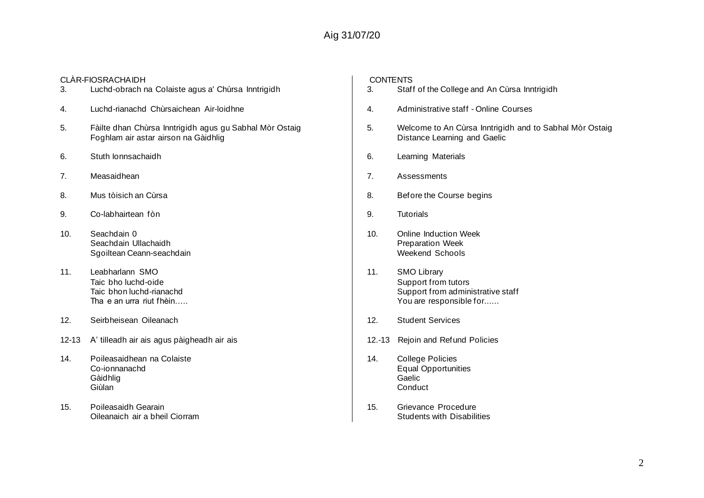## Aig 31/07/20

| 3.    | CLÀR-FIOSRACHA IDH<br>Luchd-obrach na Colaiste agus a' Chùrsa Inntrigidh                        |
|-------|-------------------------------------------------------------------------------------------------|
| 4.    | Luchd-rianachd Chùrsaichean Air-Ioidhne                                                         |
| 5.    | Fàilte dhan Chùrsa Inntrigidh agus gu Sabhal Mòr Ostaig<br>Foghlam air astar airson na Gàidhlig |
| 6.    | Stuth lonnsachaidh                                                                              |
| 7.    | Measaidhean                                                                                     |
| 8.    | Mus tòisich an Cùrsa                                                                            |
| 9.    | Co-labhairtean fòn                                                                              |
| 10.   | Seachdain 0<br>Seachdain Ullachaidh<br>Sgoiltean Ceann-seachdain                                |
| 11.   | Leabharlann SMO<br>Taic bho luchd-oide<br>Taic bhon luchd-rianachd<br>Tha e an urra riut fhèin  |
| 12.   | Seirbheisean Oileanach                                                                          |
| 12-13 | A' tilleadh air ais agus pàigheadh air ais                                                      |
| 14.   | Poileasaidhean na Colaiste<br>Co-ionnanachd<br>Gàidhlig<br>Giùlan                               |
| 15.   | Poileasaidh Gearain<br>Oileanaich air a bheil Ciorram                                           |

# CONTENTS<br>3. Staff

- Staff of the College and An Cùrsa Inntrigidh
- 4. Administrative staff Online Courses
- 5. Welcome to An Cùrsa Inntrigidh and to Sabhal Mòr Ostaig Distance Learning and Gaelic
- 6. Learning Materials
- 7. Assessments
- 8. Before the Course begins
- 9. Tutorials
- 10. Online Induction Week Preparation Week Weekend Schools
- 11. SMO Library Support from tutors Support from administrative staff You are responsible for......
- 12. Student Services
- 12.-13 Rejoin and Refund Policies
- 14. College Policies Equal Opportunities Gaelic Conduct
- 15. Grievance Procedure Students with Disabilities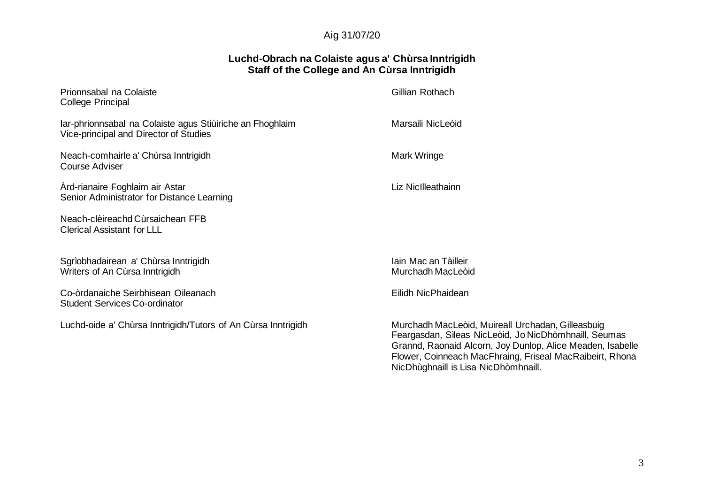## Aig 31/07/20

## **Luchd-Obrach na Colaiste agus a' Chùrsa Inntrigidh Staff of the College and An Cùrsa Inntrigidh**

| Prionnsabal na Colaiste<br>College Principal                                                        | Gillian Rothach                                                                                                                                             |  |
|-----------------------------------------------------------------------------------------------------|-------------------------------------------------------------------------------------------------------------------------------------------------------------|--|
| Iar-phrionnsabal na Colaiste agus Stiùiriche an Fhoghlaim<br>Vice-principal and Director of Studies | Marsaili NicLeòid                                                                                                                                           |  |
| Neach-comhairle a' Chùrsa Inntrigidh<br>Course Adviser                                              | Mark Wringe                                                                                                                                                 |  |
| Ard-rianaire Foghlaim air Astar<br>Senior Administrator for Distance Learning                       | Liz NicIlleathainn                                                                                                                                          |  |
| Neach-clèireachd Cùrsaichean FFB<br><b>Clerical Assistant for LLL</b>                               |                                                                                                                                                             |  |
| Sgrìobhadairean a' Chùrsa Inntrigidh<br>Writers of An Cùrsa Inntrigidh                              | Iain Mac an Tàilleir<br>Murchadh MacLeòid                                                                                                                   |  |
| Co-òrdanaiche Seirbhisean Oileanach<br><b>Student Services Co-ordinator</b>                         | Eilidh NicPhaidean                                                                                                                                          |  |
| Luchd-oide a' Chùrsa Inntrigidh/Tutors of An Cùrsa Inntrigidh                                       | Murchadh MacLeòid, Muireall Urchadan, Gilleasbuig<br>Feargasdan, Sìleas NicLeòid, Jo NicDhòmhnaill, Seu<br>Cropped Despoid Algers, Lou Dupler, Aliga Meader |  |

Feargasdan, Sìleas NicLeòid, Jo NicDhòmhnaill, Seumas Grannd, Raonaid Alcorn, Joy Dunlop, Alice Meaden, Isabelle Flower, Coinneach MacFhraing, Friseal MacRaibeirt, Rhona NicDhùghnaill is Lisa NicDhòmhnaill.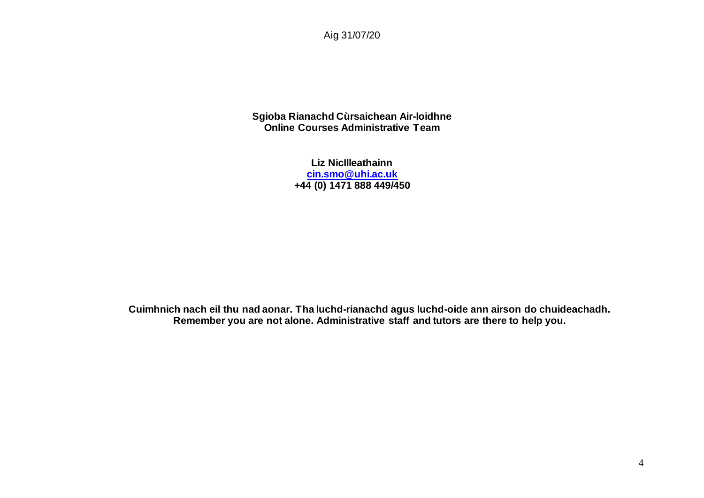Aig 31/07/20

**Sgioba Rianachd Cùrsaichean Air-loidhne Online Courses Administrative Team**

> **Liz NicIlleathainn [cin.smo@uhi.ac.uk](mailto:cin.smo@uhi.ac.uk) +44 (0) 1471 888 449/450**

**Cuimhnich nach eil thu nad aonar. Tha luchd-rianachd agus luchd-oide ann airson do chuideachadh. Remember you are not alone. Administrative staff and tutors are there to help you.**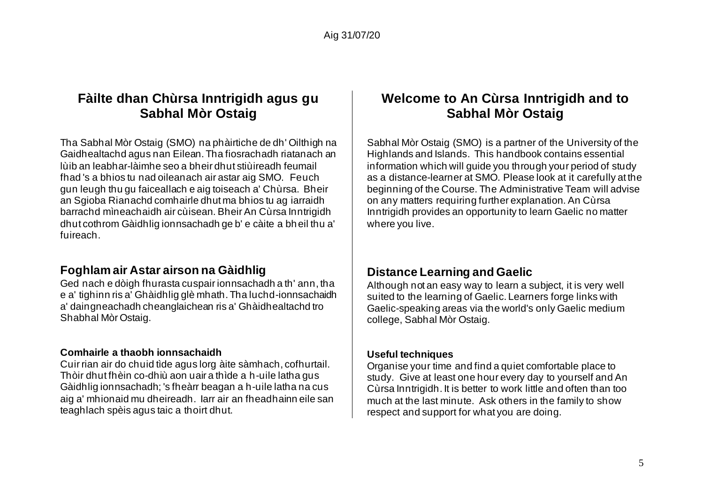## **Fàilte dhan Chùrsa Inntrigidh agus gu Sabhal Mòr Ostaig**

Tha Sabhal Mòr Ostaig (SMO) na phàirtiche de dh' Oilthigh na Gaidhealtachd agus nan Eilean. Tha fiosrachadh riatanach an lùib an leabhar-làimhe seo a bheir dhut stiùireadh feumail fhad 's a bhios tu nad oileanach air astar aig SMO. Feuch gun leugh thu gu faiceallach e aig toiseach a' Chùrsa. Bheir an Sgioba Rianachd comhairle dhut ma bhios tu ag iarraidh barrachd mìneachaidh air cùisean. Bheir An Cùrsa Inntrigidh dhut cothrom Gàidhlig ionnsachadh ge b' e càite a bheil thu a' fuireach.

## **Foghlam air Astar airson na Gàidhlig**

Ged nach e dòigh fhurasta cuspair ionnsachadh a th' ann, tha e a' tighinn ris a' Ghàidhlig glè mhath. Tha luchd-ionnsachaidh a' daingneachadh cheanglaichean ris a' Ghàidhealtachd tro Shabhal Mòr Ostaig.

## **Comhairle a thaobh ionnsachaidh**

Cuir rian air do chuid tìde agus lorg àite sàmhach, cofhurtail. Thòir dhut fhèin co-dhiù aon uair a thìde a h-uile latha gus Gàidhlig ionnsachadh; 's fheàrr beagan a h-uile latha na cus aig a' mhionaid mu dheireadh. Iarr air an fheadhainn eile san teaghlach spèis agus taic a thoirt dhut.

## **Welcome to An Cùrsa Inntrigidh and to Sabhal Mòr Ostaig**

Sabhal Mòr Ostaig (SMO) is a partner of the University of the Highlands and Islands. This handbook contains essential information which will guide you through your period of study as a distance-learner at SMO. Please look at it carefully at the beginning of the Course. The Administrative Team will advise on any matters requiring further explanation. An Cùrsa Inntrigidh provides an opportunity to learn Gaelic no matter where you live.

## **Distance Learning and Gaelic**

Although not an easy way to learn a subject, it is very well suited to the learning of Gaelic. Learners forge links with Gaelic-speaking areas via the world's only Gaelic medium college, Sabhal Mòr Ostaig.

#### **Useful techniques**

Organise your time and find a quiet comfortable place to study. Give at least one hour every day to yourself and An Cùrsa Inntrigidh. It is better to work little and often than too much at the last minute. Ask others in the family to show respect and support for what you are doing.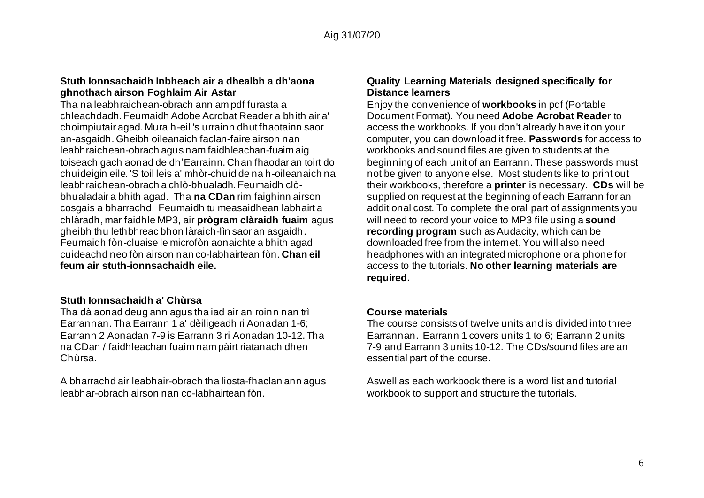#### **Stuth Ionnsachaidh Inbheach air a dhealbh a dh'aona ghnothach airson Foghlaim Air Astar**

Tha na leabhraichean-obrach ann am pdf furasta a chleachdadh. Feumaidh Adobe Acrobat Reader a bhith air a' choimpiutair agad. Mura h-eil 's urrainn dhut fhaotainn saor an-asgaidh. Gheibh oileanaich faclan-faire airson nan leabhraichean-obrach agus nam faidhleachan-fuaim aig toiseach gach aonad de dh'Earrainn. Chan fhaodar an toirt do chuideigin eile. 'S toil leis a' mhòr-chuid de na h-oileanaich na leabhraichean-obrach a chlò-bhualadh. Feumaidh clòbhualadair a bhith agad. Tha **na CDan** rim faighinn airson cosgais a bharrachd. Feumaidh tu measaidhean labhairt a chlàradh, mar faidhle MP3, air **prògram clàraidh fuaim** agus gheibh thu lethbhreac bhon làraich-lìn saor an asgaidh. Feumaidh fòn-cluaise le microfòn aonaichte a bhith agad cuideachd neo fòn airson nan co-labhairtean fòn. **Chan eil feum air stuth-ionnsachaidh eile.** 

#### **Stuth Ionnsachaidh a' Chùrsa**

Tha dà aonad deug ann agus tha iad air an roinn nan trì Earrannan. Tha Earrann 1 a' dèiligeadh ri Aonadan 1-6; Earrann 2 Aonadan 7-9 is Earrann 3 ri Aonadan 10-12. Tha na CDan / faidhleachan fuaim nam pàirt riatanach dhen Chùrsa.

A bharrachd air leabhair-obrach tha liosta-fhaclan ann agus leabhar-obrach airson nan co-labhairtean fòn.

#### **Quality Learning Materials designed specifically for Distance learners**

Enjoy the convenience of **workbooks** in pdf (Portable Document Format). You need **Adobe Acrobat Reader** to access the workbooks. If you don't already have it on your computer, you can download it free. **Passwords** for access to workbooks and sound files are given to students at the beginning of each unit of an Earrann. These passwords must not be given to anyone else. Most students like to print out their workbooks, therefore a **printer** is necessary. **CDs** will be supplied on request at the beginning of each Earrann for an additional cost. To complete the oral part of assignments you will need to record your voice to MP3 file using a **sound recording program** such as Audacity, which can be downloaded free from the internet. You will also need headphones with an integrated microphone or a phone for access to the tutorials. **No other learning materials are required.**

#### **Course materials**

The course consists of twelve units and is divided into three Earrannan. Earrann 1 covers units 1 to 6; Earrann 2 units 7-9 and Earrann 3 units 10-12. The CDs/sound files are an essential part of the course.

Aswell as each workbook there is a word list and tutorial workbook to support and structure the tutorials.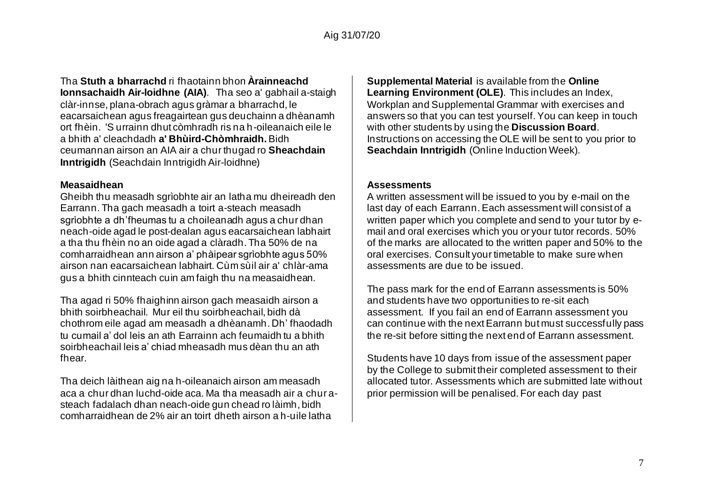Tha **Stuth a bharrachd** ri fhaotainn bhon **Àrainneachd Ionnsachaidh Air-loidhne (AIA)**. Tha seo a' gabhail a-staigh clàr-innse, plana-obrach agus gràmar a bharrachd, le eacarsaichean agus freagairtean gus deuchainn a dhèanamh ort fhèin. 'S urrainn dhut còmhradh ris na h-oileanaich eile le a bhith a' cleachdadh **a' Bhùird-Chòmhraidh.** Bidh ceumannan airson an AIA air a chur thugad ro **Sheachdain Inntrigidh** (Seachdain Inntrigidh Air-loidhne)

#### **Measaidhean**

Gheibh thu measadh sgrìobhte air an latha mu dheireadh den Earrann. Tha gach measadh a toirt a-steach measadh sgrìobhte a dh'fheumas tu a choileanadh agus a chur dhan neach-oide agad le post-dealan agus eacarsaichean labhairt a tha thu fhèin no an oide agad a clàradh. Tha 50% de na comharraidhean ann airson a' phàipear sgrìobhte agus 50% airson nan eacarsaichean labhairt. Cùm sùil air a' chlàr-ama gus a bhith cinnteach cuin am faigh thu na measaidhean.

Tha agad ri 50% fhaighinn airson gach measaidh airson a bhith soirbheachail. Mur eil thu soirbheachail, bidh dà chothrom eile agad am measadh a dhèanamh. Dh' fhaodadh tu cumail a' dol leis an ath Earrainn ach feumaidh tu a bhith soirbheachail leis a' chiad mheasadh mus dèan thu an ath fhear.

Tha deich làithean aig na h-oileanaich airson am measadh aca a chur dhan luchd-oide aca. Ma tha measadh air a chur asteach fadalach dhan neach-oide gun chead ro làimh, bidh comharraidhean de 2% air an toirt dheth airson a h-uile latha

**Supplemental Material** is available from the **Online Learning Environment (OLE)**. This includes an Index, Workplan and Supplemental Grammar with exercises and answers so that you can test yourself. You can keep in touch with other students by using the **Discussion Board**. Instructions on accessing the OLE will be sent to you prior to **Seachdain Inntrigidh** (Online Induction Week).

## **Assessments**

A written assessment will be issued to you by e-mail on the last day of each Earrann. Each assessment will consist of a written paper which you complete and send to your tutor by email and oral exercises which you or your tutor records. 50% of the marks are allocated to the written paper and 50% to the oral exercises. Consult your timetable to make sure when assessments are due to be issued.

The pass mark for the end of Earrann assessments is 50% and students have two opportunities to re-sit each assessment. If you fail an end of Earrann assessment you can continue with the next Earrann but must successfully pass the re-sit before sitting the next end of Earrann assessment.

Students have 10 days from issue of the assessment paper by the College to submit their completed assessment to their allocated tutor. Assessments which are submitted late without prior permission will be penalised. For each day past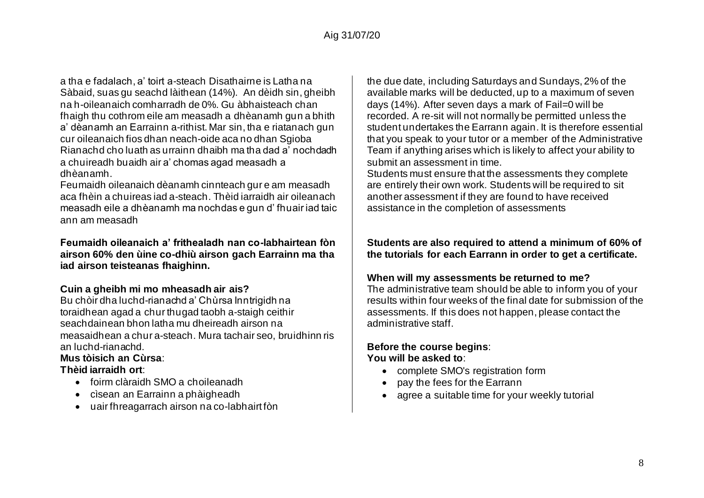a tha e fadalach, a' toirt a-steach Disathairne is Latha na Sàbaid, suas gu seachd làithean (14%). An dèidh sin, gheibh na h-oileanaich comharradh de 0%. Gu àbhaisteach chan fhaigh thu cothrom eile am measadh a dhèanamh gun a bhith a' dèanamh an Earrainn a-rithist. Mar sin, tha e riatanach gun cur oileanaich fios dhan neach-oide aca no dhan Sgioba Rianachd cho luath as urrainn dhaibh ma tha dad a' nochdadh a chuireadh buaidh air a' chomas agad measadh a dhèanamh.

Feumaidh oileanaich dèanamh cinnteach gur e am measadh aca fhèin a chuireas iad a-steach. Thèid iarraidh air oileanach measadh eile a dhèanamh ma nochdas e gun d' fhuair iad taic ann am measadh

**Feumaidh oileanaich a' frithealadh nan co-labhairtean fòn airson 60% den ùine co-dhiù airson gach Earrainn ma tha iad airson teisteanas fhaighinn.**

#### **Cuin a gheibh mi mo mheasadh air ais?**

Bu chòir dha luchd-rianachd a' Chùrsa Inntrigidh na toraidhean agad a chur thugad taobh a-staigh ceithir seachdainean bhon latha mu dheireadh airson na measaidhean a chur a-steach. Mura tachair seo, bruidhinn ris an luchd-rianachd.

## **Mus tòisich an Cùrsa**:

#### **Thèid iarraidh ort**:

- foirm clàraidh SMO a choileanadh
- cìsean an Earrainn a phàigheadh
- uair fhreagarrach airson na co-labhairt fòn

the due date, including Saturdays and Sundays, 2% of the available marks will be deducted, up to a maximum of seven days (14%). After seven days a mark of Fail=0 will be recorded. A re-sit will not normally be permitted unless the student undertakes the Earrann again. It is therefore essential that you speak to your tutor or a member of the Administrative Team if anything arises which is likely to affect your ability to submit an assessment in time.

Students must ensure that the assessments they complete are entirely their own work. Students will be required to sit another assessment if they are found to have received assistance in the completion of assessments

## **Students are also required to attend a minimum of 60% of the tutorials for each Earrann in order to get a certificate.**

## **When will my assessments be returned to me?**

The administrative team should be able to inform you of your results within four weeks of the final date for submission of the assessments. If this does not happen, please contact the administrative staff.

## **Before the course begins**: **You will be asked to**:

- complete SMO's registration form
- pay the fees for the Earrann
- agree a suitable time for your weekly tutorial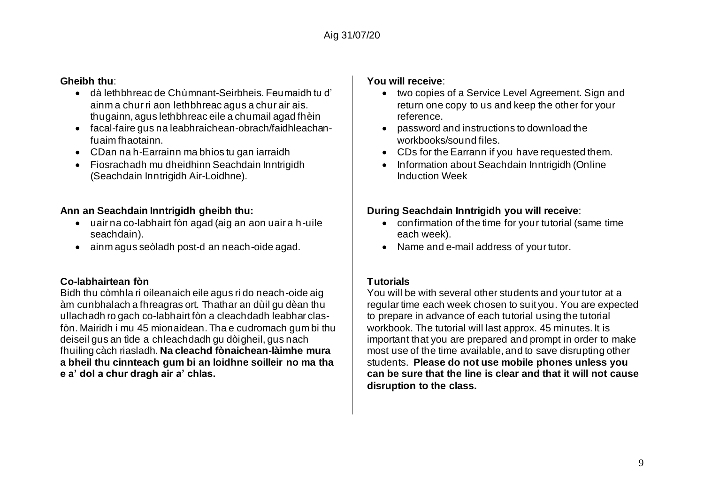#### **Gheibh thu**:

- dà lethbhreac de Chùmnant-Seirbheis. Feumaidh tu d' ainm a chur ri aon lethbhreac agus a chur air ais. thugainn, agus lethbhreac eile a chumail agad fhèin
- facal-faire gus na leabhraichean-obrach/faidhleachanfuaim fhaotainn.
- CDan na h-Earrainn ma bhios tu gan iarraidh
- Fiosrachadh mu dheidhinn Seachdain Inntrigidh (Seachdain Inntrigidh Air-Loidhne).

## **Ann an Seachdain Inntrigidh gheibh thu:**

- uair na co-labhairt fòn agad (aig an aon uair a h-uile seachdain).
- ainm agus seòladh post-d an neach-oide agad.

## **Co-labhairtean fòn**

Bidh thu còmhla ri oileanaich eile agus ri do neach-oide aig àm cunbhalach a fhreagras ort. Thathar an dùil gu dèan thu ullachadh ro gach co-labhairt fòn a cleachdadh leabhar clasfòn. Mairidh i mu 45 mionaidean. Tha e cudromach gum bi thu deiseil gus an tìde a chleachdadh gu dòigheil, gus nach fhuiling càch riasladh. **Na cleachd fònaichean-làimhe mura a bheil thu cinnteach gum bi an loidhne soilleir no ma tha e a' dol a chur dragh air a' chlas.**

## **You will receive**:

- two copies of a Service Level Agreement. Sign and return one copy to us and keep the other for your reference.
- password and instructions to download the workbooks/sound files.
- CDs for the Earrann if you have requested them.
- Information about Seachdain Inntrigidh (Online Induction Week

## **During Seachdain Inntrigidh you will receive**:

- confirmation of the time for your tutorial (same time each week).
- Name and e-mail address of your tutor.

## **Tutorials**

You will be with several other students and your tutor at a regular time each week chosen to suit you. You are expected to prepare in advance of each tutorial using the tutorial workbook. The tutorial will last approx. 45 minutes. It is important that you are prepared and prompt in order to make most use of the time available, and to save disrupting other students. **Please do not use mobile phones unless you can be sure that the line is clear and that it will not cause disruption to the class.**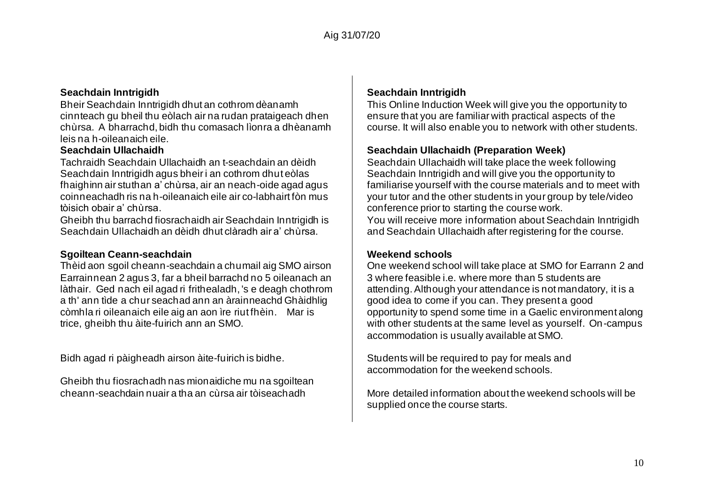#### **Seachdain Inntrigidh**

Bheir Seachdain Inntrigidh dhut an cothrom dèanamh cinnteach gu bheil thu eòlach air na rudan prataigeach dhen chùrsa. A bharrachd, bidh thu comasach lìonra a dhèanamh leis na h-oileanaich eile.

#### **Seachdain Ullachaidh**

Tachraidh Seachdain Ullachaidh an t-seachdain an dèidh Seachdain Inntrigidh agus bheir i an cothrom dhut eòlas fhaighinn air stuthan a' chùrsa, air an neach-oide agad agus coinneachadh ris na h-oileanaich eile air co-labhairt fòn mus tòisich obair a' chùrsa.

Gheibh thu barrachd fiosrachaidh air Seachdain Inntrigidh is Seachdain Ullachaidh an dèidh dhut clàradh air a' chùrsa.

#### **Sgoiltean Ceann-seachdain**

Thèid aon sgoil cheann-seachdain a chumail aig SMO airson Earrainnean 2 agus 3, far a bheil barrachd no 5 oileanach an làthair. Ged nach eil agad ri frithealadh, 's e deagh chothrom a th' ann tìde a chur seachad ann an àrainneachd Ghàidhlig còmhla ri oileanaich eile aig an aon ìre riut fhèin. Mar is trice, gheibh thu àite-fuirich ann an SMO.

Bidh agad ri pàigheadh airson àite-fuirich is bidhe.

Gheibh thu fiosrachadh nas mionaidiche mu na sgoiltean cheann-seachdain nuair a tha an cùrsa air tòiseachadh

#### **Seachdain Inntrigidh**

This Online Induction Week will give you the opportunity to ensure that you are familiar with practical aspects of the course. It will also enable you to network with other students.

## **Seachdain Ullachaidh (Preparation Week)**

Seachdain Ullachaidh will take place the week following Seachdain Inntrigidh and will give you the opportunity to familiarise yourself with the course materials and to meet with your tutor and the other students in your group by tele/video conference prior to starting the course work. You will receive more information about Seachdain Inntrigidh and Seachdain Ullachaidh after registering for the course.

#### **Weekend schools**

One weekend school will take place at SMO for Earrann 2 and 3 where feasible i.e. where more than 5 students are attending. Although your attendance is not mandatory, it is a good idea to come if you can. They present a good opportunity to spend some time in a Gaelic environment along with other students at the same level as yourself. On-campus accommodation is usually available at SMO.

Students will be required to pay for meals and accommodation for the weekend schools.

More detailed information about the weekend schools will be supplied once the course starts.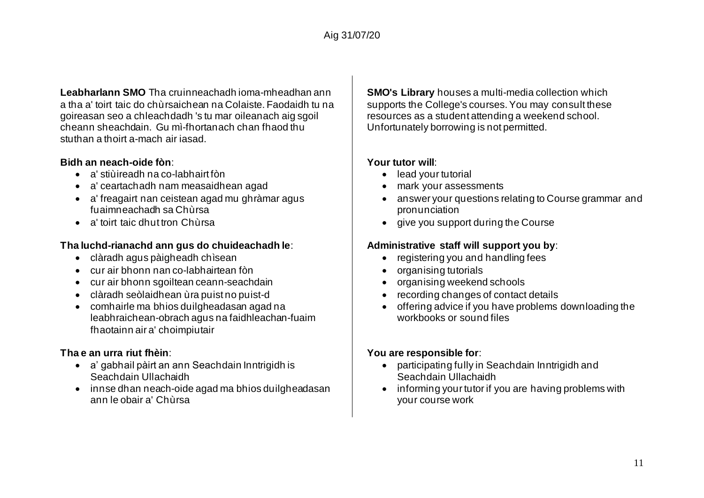**Leabharlann SMO** Tha cruinneachadh ioma-mheadhan ann a tha a' toirt taic do chùrsaichean na Colaiste. Faodaidh tu na goireasan seo a chleachdadh 's tu mar oileanach aig sgoil cheann sheachdain. Gu mì-fhortanach chan fhaod thu stuthan a thoirt a-mach air iasad.

## **Bidh an neach-oide fòn**:

- a' stiùireadh na co-labhairt fòn
- a' ceartachadh nam measaidhean agad
- a' freagairt nan ceistean agad mu ghràmar agus fuaimneachadh sa Chùrsa
- a' toirt taic dhut tron Chùrsa

## **Tha luchd-rianachd ann gus do chuideachadh le**:

- clàradh agus pàigheadh chìsean
- cur air bhonn nan co-labhairtean fòn
- cur air bhonn sgoiltean ceann-seachdain
- clàradh seòlaidhean ùra puist no puist-d
- comhairle ma bhios duilgheadasan agad na leabhraichean-obrach agus na faidhleachan-fuaim fhaotainn air a' choimpiutair

## **Tha e an urra riut fhèin**:

- a' gabhail pàirt an ann Seachdain Inntrigidh is Seachdain Ullachaidh
- innse dhan neach-oide agad ma bhios duilgheadasan ann le obair a' Chùrsa

**SMO's Library** houses a multi-media collection which supports the College's courses. You may consult these resources as a student attending a weekend school. Unfortunately borrowing is not permitted.

## **Your tutor will**:

- lead your tutorial
- mark your assessments
- answer your questions relating to Course grammar and pronunciation
- give you support during the Course

## **Administrative staff will support you by**:

- registering you and handling fees
- organising tutorials
- organising weekend schools
- recording changes of contact details
- offering advice if you have problems downloading the workbooks or sound files

## **You are responsible for**:

- participating fully in Seachdain Inntrigidh and Seachdain Ullachaidh
- informing your tutor if you are having problems with your course work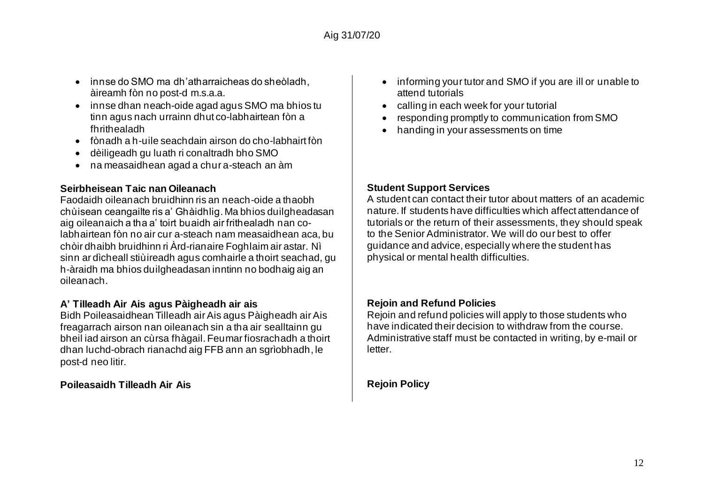- innse do SMO ma dh'atharraicheas do sheòladh, àireamh fòn no post-d m.s.a.a.
- innse dhan neach-oide agad agus SMO ma bhios tu tinn agus nach urrainn dhut co-labhairtean fòn a fhrithealadh
- fònadh a h-uile seachdain airson do cho-labhairt fòn
- dèiligeadh gu luath ri conaltradh bho SMO
- na measaidhean agad a chur a-steach an àm

## **Seirbheisean Taic nan Oileanach**

Faodaidh oileanach bruidhinn ris an neach-oide a thaobh chùisean ceangailte ris a' Ghàidhlig. Ma bhios duilgheadasan aig oileanaich a tha a' toirt buaidh air frithealadh nan colabhairtean fòn no air cur a-steach nam measaidhean aca, bu chòir dhaibh bruidhinn ri Àrd-rianaire Foghlaim air astar. Nì sinn ar dìcheall stiùireadh agus comhairle a thoirt seachad, gu h-àraidh ma bhios duilgheadasan inntinn no bodhaig aig an oileanach.

## **A' Tilleadh Air Ais agus Pàigheadh air ais**

Bidh Poileasaidhean Tilleadh air Ais agus Pàigheadh air Ais freagarrach airson nan oileanach sin a tha air sealltainn gu bheil iad airson an cùrsa fhàgail. Feumar fiosrachadh a thoirt dhan luchd-obrach rianachd aig FFB ann an sgrìobhadh, le post-d neo litir.

## **Poileasaidh Tilleadh Air Ais**

- informing your tutor and SMO if you are ill or unable to attend tutorials
- calling in each week for your tutorial
- responding promptly to communication from SMO
- handing in your assessments on time

## **Student Support Services**

A student can contact their tutor about matters of an academic nature. If students have difficulties which affect attendance of tutorials or the return of their assessments, they should speak to the Senior Administrator. We will do our best to offer guidance and advice, especially where the student has physical or mental health difficulties.

## **Rejoin and Refund Policies**

Rejoin and refund policies will apply to those students who have indicated their decision to withdraw from the course. Administrative staff must be contacted in writing, by e-mail or letter.

**Rejoin Policy**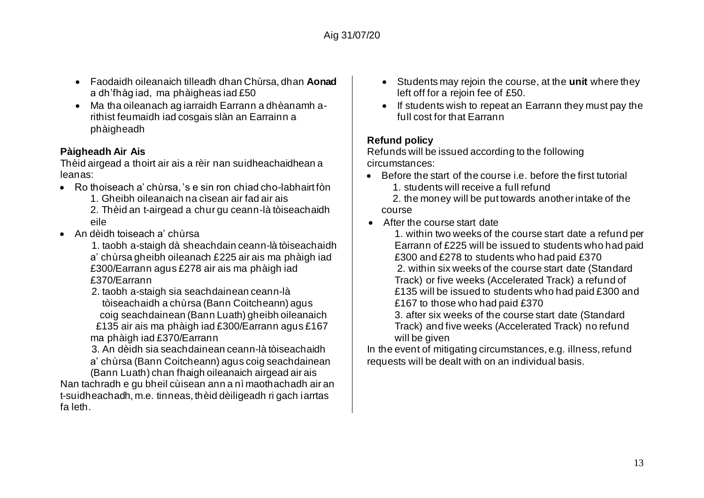- Faodaidh oileanaich tilleadh dhan Chùrsa, dhan **Aonad** a dh'fhàg iad, ma phàigheas iad £50
- Ma tha oileanach ag iarraidh Earrann a dhèanamh arithist feumaidh iad cosgais slàn an Earrainn a phàigheadh

## **Pàigheadh Air Ais**

Thèid airgead a thoirt air ais a rèir nan suidheachaidhean a leanas:

• Ro thoiseach a' chùrsa, 's e sin ron chiad cho-labhairt fòn

1. Gheibh oileanaich na cìsean air fad air ais

2. Thèid an t-airgead a chur gu ceann-là tòiseachaidh eile

- An dèidh toiseach a' chùrsa
	- 1. taobh a-staigh dà sheachdain ceann-là tòiseachaidh a' chùrsa gheibh oileanach £225 air ais ma phàigh iad £300/Earrann agus £278 air ais ma phàigh iad £370/Earrann
	- 2. taobh a-staigh sia seachdainean ceann-là tòiseachaidh a chùrsa (Bann Coitcheann) agus coig seachdainean (Bann Luath) gheibh oileanaich £135 air ais ma phàigh iad £300/Earrann agus £167 ma phàigh iad £370/Earrann

3. An dèidh sia seachdainean ceann-là tòiseachaidh

a' chùrsa (Bann Coitcheann) agus coig seachdainean (Bann Luath) chan fhaigh oileanaich airgead air ais

Nan tachradh e gu bheil cùisean ann a nì maothachadh air an t-suidheachadh, m.e. tinneas, thèid dèiligeadh ri gach iarrtas fa leth.

- Students may rejoin the course, at the **unit** where they left off for a rejoin fee of £50.
- If students wish to repeat an Earrann they must pay the full cost for that Earrann

## **Refund policy**

Refunds will be issued according to the following circumstances:

- $\bullet$  Before the start of the course i.e. before the first tutorial
	- 1. students will receive a full refund

 2. the money will be put towards another intake of the course

• After the course start date

1. within two weeks of the course start date a refund per Earrann of £225 will be issued to students who had paid £300 and £278 to students who had paid £370 2. within six weeks of the course start date (Standard Track) or five weeks (Accelerated Track) a refund of £135 will be issued to students who had paid £300 and £167 to those who had paid £370

3. after six weeks of the course start date (Standard Track) and five weeks (Accelerated Track) no refund will be given

In the event of mitigating circumstances, e.g. illness, refund requests will be dealt with on an individual basis.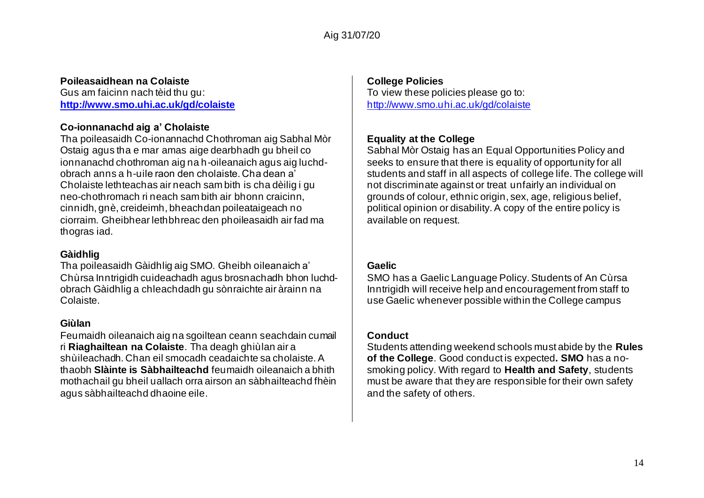## **Poileasaidhean na Colaiste**

Gus am faicinn nach tèid thu gu: **<http://www.smo.uhi.ac.uk/gd/colaiste>**

## **Co-ionnanachd aig a' Cholaiste**

Tha poileasaidh Co-ionannachd Chothroman aig Sabhal Mòr Ostaig agus tha e mar amas aige dearbhadh gu bheil co ionnanachd chothroman aig na h-oileanaich agus aig luchdobrach anns a h-uile raon den cholaiste. Cha dean a' Cholaiste lethteachas air neach sam bith is cha dèilig i gu neo-chothromach ri neach sam bith air bhonn craicinn, cinnidh, gnè, creideimh, bheachdan poileataigeach no ciorraim. Gheibhear lethbhreac den phoileasaidh air fad ma thogras iad.

#### **Gàidhlig**

Tha poileasaidh Gàidhlig aig SMO. Gheibh oileanaich a' Chùrsa Inntrigidh cuideachadh agus brosnachadh bhon luchdobrach Gàidhlig a chleachdadh gu sònraichte air àrainn na Colaiste.

#### **Giùlan**

Feumaidh oileanaich aig na sgoiltean ceann seachdain cumail ri **Riaghailtean na Colaiste**. Tha deagh ghiùlan air a shùileachadh. Chan eil smocadh ceadaichte sa cholaiste. A thaobh **Slàinte is Sàbhailteachd** feumaidh oileanaich a bhith mothachail gu bheil uallach orra airson an sàbhailteachd fhèin agus sàbhailteachd dhaoine eile.

#### **College Policies**

To view these policies please go to: <http://www.smo.uhi.ac.uk/gd/colaiste>

## **Equality at the College**

Sabhal Mòr Ostaig has an Equal Opportunities Policy and seeks to ensure that there is equality of opportunity for all students and staff in all aspects of college life. The college will not discriminate against or treat unfairly an individual on grounds of colour, ethnic origin, sex, age, religious belief, political opinion or disability. A copy of the entire policy is available on request.

## **Gaelic**

SMO has a Gaelic Language Policy. Students of An Cùrsa Inntrigidh will receive help and encouragement from staff to use Gaelic whenever possible within the College campus

## **Conduct**

Students attending weekend schools must abide by the **Rules of the College**. Good conduct is expected**. SMO** has a nosmoking policy. With regard to **Health and Safety**, students must be aware that they are responsible for their own safety and the safety of others.